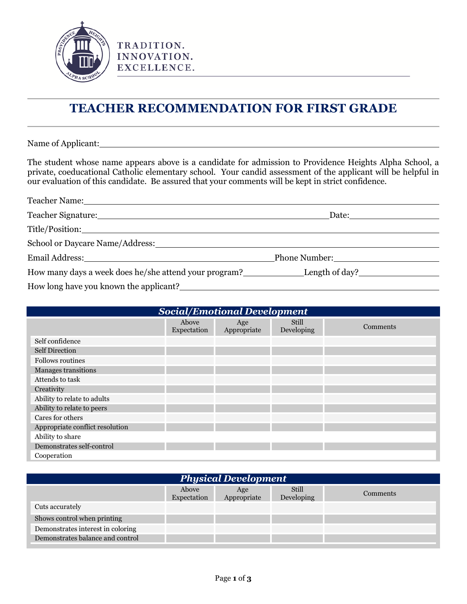

TRADITION. INNOVATION. EXCELLENCE.

## **TEACHER RECOMMENDATION FOR FIRST GRADE**

Name of Applicant:

The student whose name appears above is a candidate for admission to Providence Heights Alpha School, a private, coeducational Catholic elementary school. Your candid assessment of the applicant will be helpful in our evaluation of this candidate. Be assured that your comments will be kept in strict confidence.

| Teacher Name: 1990 and 2000 and 2000 and 2000 and 2000 and 2000 and 2000 and 2000 and 2000 and 2000 and 2000 and 2000 and 2000 and 2000 and 2000 and 2000 and 2000 and 2000 and 2000 and 2000 and 2000 and 2000 and 2000 and 2 |                             |  |
|--------------------------------------------------------------------------------------------------------------------------------------------------------------------------------------------------------------------------------|-----------------------------|--|
| Teacher Signature: New York Changes and School Changes and School Changes and School Changes and School Changes and School Changes and School Changes and School Changes and School Changes and School Changes and School Chan | Date: <u>Date:</u>          |  |
| Title/Position:                                                                                                                                                                                                                |                             |  |
| School or Daycare Name/Address:                                                                                                                                                                                                |                             |  |
| Email Address: North American Section 2014                                                                                                                                                                                     | Phone Number: New York 1988 |  |
|                                                                                                                                                                                                                                |                             |  |
| How long have you known the applicant?                                                                                                                                                                                         |                             |  |

| Social/Emotional Development    |                      |                    |                     |          |  |
|---------------------------------|----------------------|--------------------|---------------------|----------|--|
|                                 | Above<br>Expectation | Age<br>Appropriate | Still<br>Developing | Comments |  |
| Self confidence                 |                      |                    |                     |          |  |
| <b>Self Direction</b>           |                      |                    |                     |          |  |
| <b>Follows routines</b>         |                      |                    |                     |          |  |
| Manages transitions             |                      |                    |                     |          |  |
| Attends to task                 |                      |                    |                     |          |  |
| Creativity                      |                      |                    |                     |          |  |
| Ability to relate to adults     |                      |                    |                     |          |  |
| Ability to relate to peers      |                      |                    |                     |          |  |
| Cares for others                |                      |                    |                     |          |  |
| Appropriate conflict resolution |                      |                    |                     |          |  |
| Ability to share                |                      |                    |                     |          |  |
| Demonstrates self-control       |                      |                    |                     |          |  |
| Cooperation                     |                      |                    |                     |          |  |

| <b>Physical Development</b>       |                      |                    |                     |          |  |
|-----------------------------------|----------------------|--------------------|---------------------|----------|--|
|                                   | Above<br>Expectation | Age<br>Appropriate | Still<br>Developing | Comments |  |
| Cuts accurately                   |                      |                    |                     |          |  |
| Shows control when printing       |                      |                    |                     |          |  |
| Demonstrates interest in coloring |                      |                    |                     |          |  |
| Demonstrates balance and control  |                      |                    |                     |          |  |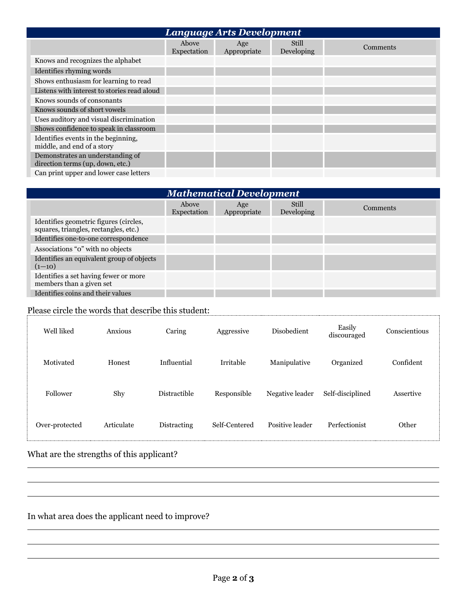| <b>Language Arts Development</b>                                     |                      |                    |                            |          |  |
|----------------------------------------------------------------------|----------------------|--------------------|----------------------------|----------|--|
|                                                                      | Above<br>Expectation | Age<br>Appropriate | <b>Still</b><br>Developing | Comments |  |
| Knows and recognizes the alphabet                                    |                      |                    |                            |          |  |
| Identifies rhyming words                                             |                      |                    |                            |          |  |
| Shows enthusiasm for learning to read                                |                      |                    |                            |          |  |
| Listens with interest to stories read aloud                          |                      |                    |                            |          |  |
| Knows sounds of consonants                                           |                      |                    |                            |          |  |
| Knows sounds of short vowels                                         |                      |                    |                            |          |  |
| Uses auditory and visual discrimination                              |                      |                    |                            |          |  |
| Shows confidence to speak in classroom                               |                      |                    |                            |          |  |
| Identifies events in the beginning,<br>middle, and end of a story    |                      |                    |                            |          |  |
| Demonstrates an understanding of<br>direction terms (up, down, etc.) |                      |                    |                            |          |  |
| Can print upper and lower case letters                               |                      |                    |                            |          |  |

| <b>Mathematical Development</b>                                                 |                      |                    |                     |          |  |
|---------------------------------------------------------------------------------|----------------------|--------------------|---------------------|----------|--|
|                                                                                 | Above<br>Expectation | Age<br>Appropriate | Still<br>Developing | Comments |  |
| Identifies geometric figures (circles,<br>squares, triangles, rectangles, etc.) |                      |                    |                     |          |  |
| Identifies one-to-one correspondence                                            |                      |                    |                     |          |  |
| Associations "o" with no objects                                                |                      |                    |                     |          |  |
| Identifies an equivalent group of objects<br>$(1-10)$                           |                      |                    |                     |          |  |
| Identifies a set having fewer or more<br>members than a given set               |                      |                    |                     |          |  |
| Identifies coins and their values                                               |                      |                    |                     |          |  |

## Please circle the words that describe this student:

| Well liked     | Anxious    | Caring              | Aggressive    | Disobedient     | Easily<br>discouraged | Conscientious |
|----------------|------------|---------------------|---------------|-----------------|-----------------------|---------------|
| Motivated      | Honest     | Influential         | Irritable     | Manipulative    | Organized             | Confident     |
| Follower       | Shy        | <b>Distractible</b> | Responsible   | Negative leader | Self-disciplined      | Assertive     |
| Over-protected | Articulate | Distracting         | Self-Centered | Positive leader | Perfectionist         | Other         |

## What are the strengths of this applicant?

## In what area does the applicant need to improve?